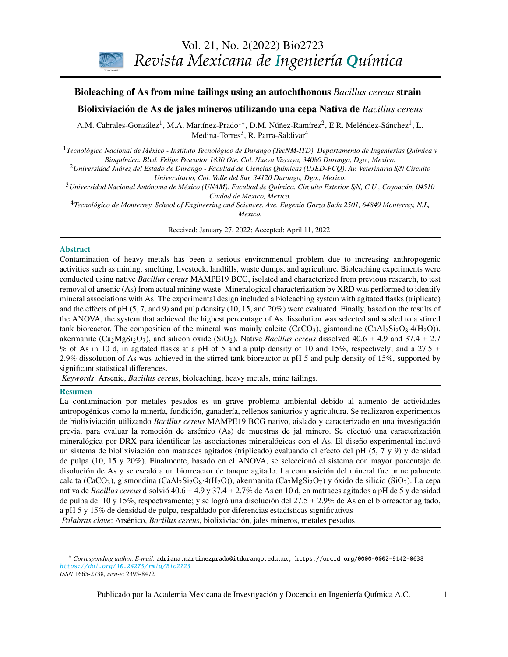

# **CONTENIDO**  Bioleaching of As from mine tailings using an autochthonous *Bacillus cereus* strain

# Biolixiviación de As de jales mineros utilizando una cepa Nativa de *Bacillus cereus*

213 Derivation and application of the Stefan-Maxwell equations A.M. Cabrales-González<sup>1</sup>, M.A. Martínez-Prado<sup>1</sup>\*, D.M. Núñez-Ramírez<sup>2</sup>, E.R. Meléndez-Sánchez<sup>1</sup>, L. Medina-Torres $^3$ , R. Parra-Saldivar $^4$ 

 (Desarrollo y aplicación de las ecuaciones de Stefan-Maxwell) *Bioquímica. Blvd. Felipe Pescador 1830 Ote. Col. Nueva Vizcaya, 34080 Durango, Dgo., Mexico.* <sup>1</sup>*Tecnológico Nacional de México - Instituto Tecnológico de Durango (TecNM-ITD). Departamento de Ingenierías Química y*

*Stephen Whitaker* <sup>2</sup>*Universidad Juárez del Estado de Durango - Facultad de Ciencias Químicas (UJED-FCQ). Av. Veterinaria S*/*N Circuito Universitario, Col. Valle del Sur, 34120 Durango, Dgo., Mexico.*

<sup>3</sup>*Universidad Nacional Autónoma de México (UNAM). Facultad de Química. Circuito Exterior S*/*N, C.U., Coyoacán, 04510 Ciudad de México, Mexico.*

<sup>4</sup> Tecnológico de Monterrey. School of Engineering and Sciences. Ave. Eugenio Garza Sada 2501, 64849 Monterrey, N.L,<br>Maxiso *Mexico.*

Received: January 27, 2022; Accepted: April 11, 2022

#### Abstract

and sediments) Contamination of heavy metals has been a serious environmental problem due to increasing anthropogenic activities such as mining, smelting, livestock, landfills, waste dumps, and agriculture. Bioleaching experiments were conducted using native *Bacillus cereus* MAMPE19 BCG, isolated and characterized from previous research, to test removal of arsenic (As) from actual mining waste. Mineralogical characterization by XRD was performed to identify and the effects of pH (5, 7, and 9) and pulp density (10, 15, and 20%) were evaluated. Finally, based on the results of the ANOVA, the system that achieved the highest percentage of As dissolution was selected and scaled to a stirred tank bioreactor. The composition of the mineral was mainly calcite  $(CaCO<sub>3</sub>)$ , gismondine  $(CaAl<sub>2</sub>Si<sub>2</sub>O<sub>8</sub>·4(H<sub>2</sub>O))$ , akermanite (Ca<sub>2</sub>MgSi<sub>2</sub>O<sub>7</sub>), and silicon oxide (SiO<sub>2</sub>). Native *Bacillus cereus* dissolved 40.6  $\pm$  4.9 and 37.4  $\pm$  2.7 2.9% dissolution of As was achieved in the stirred tank bioreactor at pH 5 and pulp density of 15%, supported by (Optimización estadística de la fermentación etanólica de *Saccharomyces cerevisiae* en presencia de mineral associations with As. The experimental design included a bioleaching system with agitated flasks (triplicate) % of As in 10 d, in agitated flasks at a pH of 5 and a pulp density of 10 and 15%, respectively; and a 27.5  $\pm$ significant statistical differences.

*Keywords*: Arsenic, *Bacillus cereus*, bioleaching, heavy metals, mine tailings.

#### Resumen

*G. Inei-Shizukawa, H. A. Velasco-Bedrán, G. F. Gutiérrez-López and H. Hernández-Sánchez*  La contaminación por metales pesados es un grave problema ambiental debido al aumento de actividades *Ingeniería de procesos / Process engineering*  de biolixiviación utilizando *Bacillus cereus* MAMPE19 BCG nativo, aislado y caracterizado en una investigación previa, para evaluar la remoción de arsénico (As) de muestras de jal minero. Se efectuó una caracterización mineralógica por DRX para identificar las asociaciones mineralógicas con el As. El diseño experimental incluyó un sistema de biolixiviación con matraces agitados (triplicado) evaluando el efecto del pH (5, 7 y 9) y densidad *J.R. Medina, R.L. Romero y G.A. Pérez* disolución de As y se escaló a un biorreactor de tanque agitado. La composición del mineral fue principalmente antropogénicas como la minería, fundición, ganadería, rellenos sanitarios y agricultura. Se realizaron experimentos de pulpa (10, 15 y 20%). Finalmente, basado en el ANOVA, se seleccionó el sistema con mayor porcentaje de calcita (CaCO<sub>3</sub>), gismondina (CaAl<sub>2</sub>Si<sub>2</sub>O<sub>8</sub>·4(H<sub>2</sub>O)), akermanita (Ca<sub>2</sub>MgSi<sub>2</sub>O<sub>7</sub>) y óxido de silicio (SiO<sub>2</sub>). La cepa nativa de *Bacillus cereus* disolvió 40.6 ± 4.9 y 37.4 ± 2.7% de As en 10 d, en matraces agitados a pH de 5 y densidad de pulpa del 10 y 15%, respectivamente; y se logró una disolución del 27.5 ± 2.9% de As en el biorreactor agitado, a pH 5 y 15% de densidad de pulpa, respaldado por diferencias estadísticas significativas *Palabras clave*: Arsénico, *Bacillus cereus*, biolixiviación, jales mineros, metales pesados.

<span id="page-0-0"></span><sup>\*</sup> *Corresponding author. E-mail*: adriana.martinezprado@itdurango.edu.mx; https://orcid.org/0000-0002-9142-0638 <https://doi.org/10.24275/rmiq/Bio2723> *ISSN*:1665-2738, *issn-e*: 2395-8472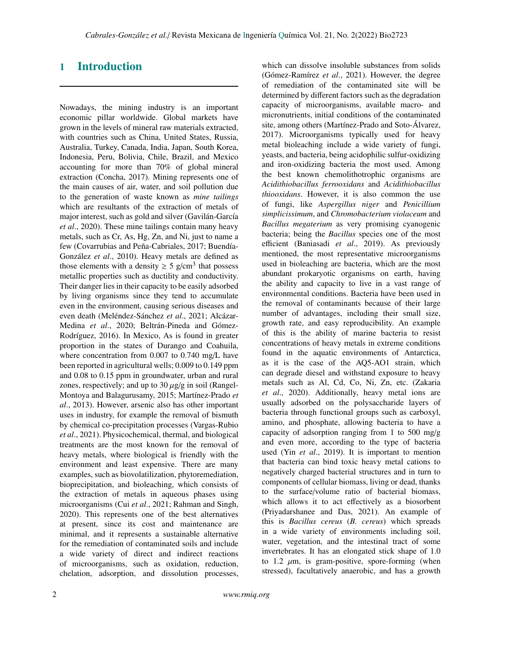# 1 Introduction

Nowadays, the mining industry is an important economic pillar worldwide. Global markets have grown in the levels of mineral raw materials extracted, with countries such as China, United States, Russia, Australia, Turkey, Canada, India, Japan, South Korea, Indonesia, Peru, Bolivia, Chile, Brazil, and Mexico accounting for more than 70% of global mineral extraction (Concha, 2017). Mining represents one of the main causes of air, water, and soil pollution due to the generation of waste known as *mine tailings* which are resultants of the extraction of metals of major interest, such as gold and silver (Gavilán-García *et al*., 2020). These mine tailings contain many heavy metals, such as Cr, As, Hg, Zn, and Ni, just to name a few (Covarrubias and Peña-Cabriales, 2017; Buendía-González *et al*., 2010). Heavy metals are defined as those elements with a density  $\geq 5$  g/cm<sup>3</sup> that possess metallic properties such as ductility and conductivity. Their danger lies in their capacity to be easily adsorbed by living organisms since they tend to accumulate even in the environment, causing serious diseases and even death (Meléndez-Sánchez *et al*., 2021; Alcázar-Medina *et al*., 2020; Beltrán-Pineda and Gómez-Rodríguez, 2016). In Mexico, As is found in greater proportion in the states of Durango and Coahuila, where concentration from 0.007 to 0.740 mg/L have been reported in agricultural wells; 0.009 to 0.149 ppm and 0.08 to 0.15 ppm in groundwater, urban and rural zones, respectively; and up to  $30 \mu g/g$  in soil (Rangel-Montoya and Balagurusamy, 2015; Martínez-Prado *et al*., 2013). However, arsenic also has other important uses in industry, for example the removal of bismuth by chemical co-precipitation processes (Vargas-Rubio *et al*., 2021). Physicochemical, thermal, and biological treatments are the most known for the removal of heavy metals, where biological is friendly with the environment and least expensive. There are many examples, such as biovolatilization, phytoremediation, bioprecipitation, and bioleaching, which consists of the extraction of metals in aqueous phases using microorganisms (Cui *et al*., 2021; Rahman and Singh, 2020). This represents one of the best alternatives at present, since its cost and maintenance are minimal, and it represents a sustainable alternative for the remediation of contaminated soils and include a wide variety of direct and indirect reactions of microorganisms, such as oxidation, reduction, chelation, adsorption, and dissolution processes,

which can dissolve insoluble substances from solids (Gómez-Ramírez *et al*., 2021). However, the degree of remediation of the contaminated site will be determined by different factors such as the degradation capacity of microorganisms, available macro- and micronutrients, initial conditions of the contaminated site, among others (Martínez-Prado and Soto-Álvarez, 2017). Microorganisms typically used for heavy metal bioleaching include a wide variety of fungi, yeasts, and bacteria, being acidophilic sulfur-oxidizing and iron-oxidizing bacteria the most used. Among the best known chemolithotrophic organisms are *Acidithiobacillus ferrooxidans* and *Acidithiobacillus thiooxidans*. However, it is also common the use of fungi, like *Aspergillus niger* and *Penicillium simplicissimum*, and *Chromobacterium violaceum* and *Bacillus megaterium* as very promising cyanogenic bacteria; being the *Bacillus* species one of the most efficient (Baniasadi *et al*., 2019). As previously mentioned, the most representative microorganisms used in bioleaching are bacteria, which are the most abundant prokaryotic organisms on earth, having the ability and capacity to live in a vast range of environmental conditions. Bacteria have been used in the removal of contaminants because of their large number of advantages, including their small size, growth rate, and easy reproducibility. An example of this is the ability of marine bacteria to resist concentrations of heavy metals in extreme conditions found in the aquatic environments of Antarctica, as it is the case of the AQ5-AO1 strain, which can degrade diesel and withstand exposure to heavy metals such as Al, Cd, Co, Ni, Zn, etc. (Zakaria *et al*., 2020). Additionally, heavy metal ions are usually adsorbed on the polysaccharide layers of bacteria through functional groups such as carboxyl, amino, and phosphate, allowing bacteria to have a capacity of adsorption ranging from 1 to 500 mg/g and even more, according to the type of bacteria used (Yin *et al*., 2019). It is important to mention that bacteria can bind toxic heavy metal cations to negatively charged bacterial structures and in turn to components of cellular biomass, living or dead, thanks to the surface/volume ratio of bacterial biomass, which allows it to act effectively as a biosorbent (Priyadarshanee and Das, 2021). An example of this is *Bacillus cereus* (*B. cereus*) which spreads in a wide variety of environments including soil, water, vegetation, and the intestinal tract of some invertebrates. It has an elongated stick shape of 1.0 to 1.2  $\mu$ m, is gram-positive, spore-forming (when stressed), facultatively anaerobic, and has a growth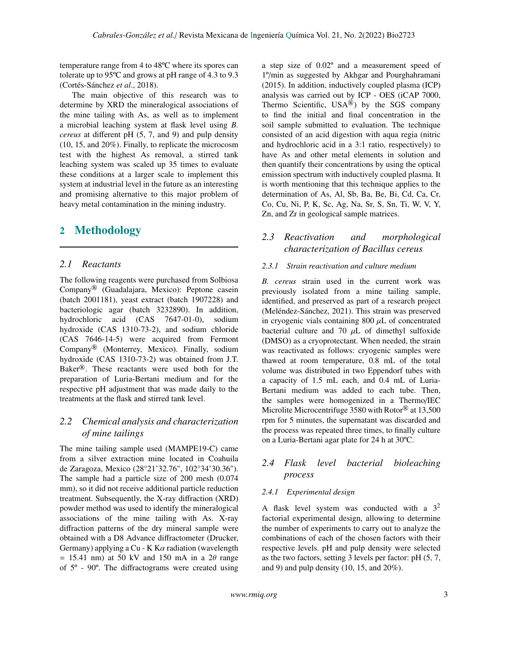temperature range from 4 to 48ºC where its spores can tolerate up to 95ºC and grows at pH range of 4.3 to 9.3 (Cortés-Sánchez *et al*., 2018).

The main objective of this research was to determine by XRD the mineralogical associations of the mine tailing with As, as well as to implement a microbial leaching system at flask level using *B. cereus* at different pH (5, 7, and 9) and pulp density (10, 15, and 20%). Finally, to replicate the microcosm test with the highest As removal, a stirred tank leaching system was scaled up 35 times to evaluate these conditions at a larger scale to implement this system at industrial level in the future as an interesting and promising alternative to this major problem of heavy metal contamination in the mining industry.

# 2 Methodology

## *2.1 Reactants*

The following reagents were purchased from Solbiosa Company® (Guadalajara, Mexico): Peptone casein (batch 2001181), yeast extract (batch 1907228) and bacteriologic agar (batch 3232890). In addition, hydrochloric acid (CAS 7647-01-0), sodium hydroxide (CAS 1310-73-2), and sodium chloride (CAS 7646-14-5) were acquired from Fermont Company® (Monterrey, Mexico). Finally, sodium hydroxide (CAS 1310-73-2) was obtained from J.T. Baker®. These reactants were used both for the preparation of Luria-Bertani medium and for the respective pH adjustment that was made daily to the treatments at the flask and stirred tank level.

# *2.2 Chemical analysis and characterization of mine tailings*

The mine tailing sample used (MAMPE19-C) came from a silver extraction mine located in Coahuila de Zaragoza, Mexico (28°21'32.76", 102°34'30.36"). The sample had a particle size of 200 mesh (0.074 mm), so it did not receive additional particle reduction treatment. Subsequently, the X-ray diffraction (XRD) powder method was used to identify the mineralogical associations of the mine tailing with As. X-ray diffraction patterns of the dry mineral sample were obtained with a D8 Advance diffractometer (Drucker, Germany) applying a Cu - K K $\alpha$  radiation (wavelength  $= 15.41$  nm) at 50 kV and 150 mA in a 2 $\theta$  range of 5º - 90º. The diffractograms were created using a step size of 0.02º and a measurement speed of 1º/min as suggested by Akhgar and Pourghahramani (2015). In addition, inductively coupled plasma (ICP) analysis was carried out by ICP - OES (iCAP 7000, Thermo Scientific, USA®) by the SGS company to find the initial and final concentration in the soil sample submitted to evaluation. The technique consisted of an acid digestion with aqua regia (nitric and hydrochloric acid in a 3:1 ratio, respectively) to have As and other metal elements in solution and then quantify their concentrations by using the optical emission spectrum with inductively coupled plasma. It is worth mentioning that this technique applies to the determination of As, Al, Sb, Ba, Be, Bi, Cd, Ca, Cr, Co, Cu, Ni, P, K, Sc, Ag, Na, Sr, S, Sn, Ti, W, V, Y, Zn, and Zr in geological sample matrices.

# *2.3 Reactivation and morphological characterization of Bacillus cereus*

### *2.3.1 Strain reactivation and culture medium*

*B. cereus* strain used in the current work was previously isolated from a mine tailing sample, identified, and preserved as part of a research project (Meléndez-Sánchez, 2021). This strain was preserved in cryogenic vials containing  $800 \mu L$  of concentrated bacterial culture and 70  $\mu$ L of dimethyl sulfoxide (DMSO) as a cryoprotectant. When needed, the strain was reactivated as follows: cryogenic samples were thawed at room temperature, 0.8 mL of the total volume was distributed in two Eppendorf tubes with a capacity of 1.5 mL each, and 0.4 mL of Luria-Bertani medium was added to each tube. Then, the samples were homogenized in a Thermo/IEC Microlite Microcentrifuge 3580 with Rotor<sup>®</sup> at 13,500 rpm for 5 minutes, the supernatant was discarded and the process was repeated three times, to finally culture on a Luria-Bertani agar plate for 24 h at 30ºC.

# *2.4 Flask level bacterial bioleaching process*

#### *2.4.1 Experimental design*

A flask level system was conducted with a  $3^2$ factorial experimental design, allowing to determine the number of experiments to carry out to analyze the combinations of each of the chosen factors with their respective levels. pH and pulp density were selected as the two factors, setting 3 levels per factor: pH (5, 7, and 9) and pulp density  $(10, 15, \text{ and } 20\%)$ .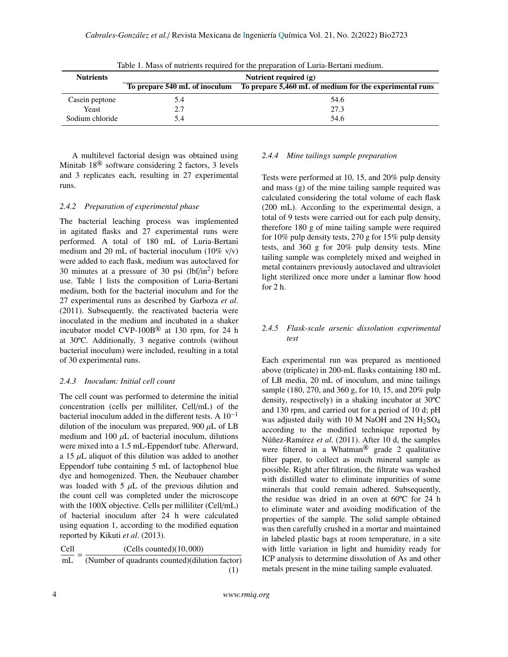| <b>Nutrients</b> | Nutrient required $(g)$       |                                                         |  |
|------------------|-------------------------------|---------------------------------------------------------|--|
|                  | To prepare 540 mL of inoculum | To prepare 5,460 mL of medium for the experimental runs |  |
| Casein peptone   | 5.4                           | 54.6                                                    |  |
| Yeast            | 2.7                           | 27.3                                                    |  |
| Sodium chloride  | 5.4                           | 54.6                                                    |  |

Table 1. Mass of nutrients required for the preparation of Luria-Bertani medium.

A multilevel factorial design was obtained using Minitab 18® software considering 2 factors, 3 levels and 3 replicates each, resulting in 27 experimental runs.

### *2.4.2 Preparation of experimental phase*

The bacterial leaching process was implemented in agitated flasks and 27 experimental runs were performed. A total of 180 mL of Luria-Bertani medium and 20 mL of bacterial inoculum (10% v/v) were added to each flask, medium was autoclaved for 30 minutes at a pressure of 30 psi  $(lbf/in<sup>2</sup>)$  before use. Table 1 lists the composition of Luria-Bertani medium, both for the bacterial inoculum and for the 27 experimental runs as described by Garboza *et al*. (2011). Subsequently, the reactivated bacteria were inoculated in the medium and incubated in a shaker incubator model CVP-100B® at 130 rpm, for 24 h at 30ºC. Additionally, 3 negative controls (without bacterial inoculum) were included, resulting in a total of 30 experimental runs.

#### *2.4.3 Inoculum: Initial cell count*

The cell count was performed to determine the initial concentration (cells per milliliter, Cell/mL) of the bacterial inoculum added in the different tests. A  $10^{-1}$ dilution of the inoculum was prepared, 900  $\mu$ L of LB medium and 100  $\mu$ L of bacterial inoculum, dilutions were mixed into a 1.5 mL-Eppendorf tube. Afterward, a 15  $\mu$ L aliquot of this dilution was added to another Eppendorf tube containing 5 mL of lactophenol blue dye and homogenized. Then, the Neubauer chamber was loaded with  $5 \mu L$  of the previous dilution and the count cell was completed under the microscope with the 100X objective. Cells per milliliter (Cell/mL) of bacterial inoculum after 24 h were calculated using equation 1, according to the modified equation reported by Kikuti *et al*. (2013).

 $\frac{\text{Cell}}{\text{cell}} = \frac{(\text{Cells counted})(10,000)}{(\text{Number of students count d})(\text{d})}$ 

| mL | (Number of quadrants counted) (dilution factor) |  |
|----|-------------------------------------------------|--|
|    |                                                 |  |

### *2.4.4 Mine tailings sample preparation*

Tests were performed at 10, 15, and 20% pulp density and mass (g) of the mine tailing sample required was calculated considering the total volume of each flask (200 mL). According to the experimental design, a total of 9 tests were carried out for each pulp density, therefore 180 g of mine tailing sample were required for 10% pulp density tests, 270 g for 15% pulp density tests, and 360 g for 20% pulp density tests. Mine tailing sample was completely mixed and weighed in metal containers previously autoclaved and ultraviolet light sterilized once more under a laminar flow hood for 2 h.

### *2.4.5 Flask-scale arsenic dissolution experimental test*

Each experimental run was prepared as mentioned above (triplicate) in 200-mL flasks containing 180 mL of LB media, 20 mL of inoculum, and mine tailings sample (180, 270, and 360 g, for 10, 15, and 20% pulp density, respectively) in a shaking incubator at 30ºC and 130 rpm, and carried out for a period of 10 d; pH was adjusted daily with 10 M NaOH and  $2N H_2SO_4$ according to the modified technique reported by Núñez-Ramírez *et al*. (2011). After 10 d, the samples were filtered in a Whatman<sup>®</sup> grade 2 qualitative filter paper, to collect as much mineral sample as possible. Right after filtration, the filtrate was washed with distilled water to eliminate impurities of some minerals that could remain adhered. Subsequently, the residue was dried in an oven at 60ºC for 24 h to eliminate water and avoiding modification of the properties of the sample. The solid sample obtained was then carefully crushed in a mortar and maintained in labeled plastic bags at room temperature, in a site with little variation in light and humidity ready for ICP analysis to determine dissolution of As and other metals present in the mine tailing sample evaluated.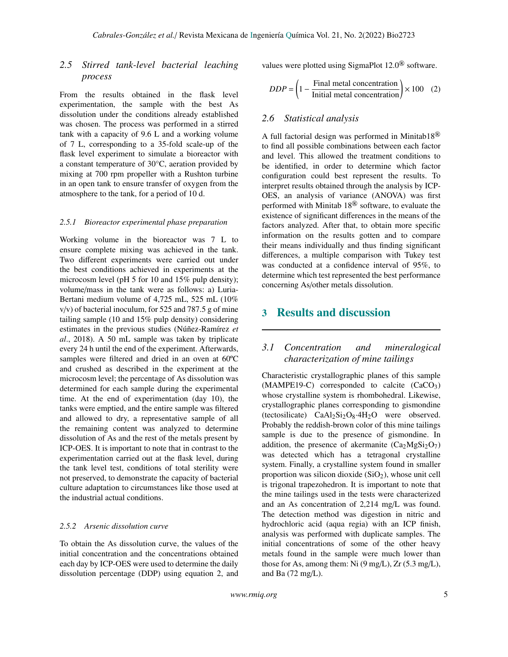# *2.5 Stirred tank-level bacterial leaching process*

From the results obtained in the flask level experimentation, the sample with the best As dissolution under the conditions already established was chosen. The process was performed in a stirred tank with a capacity of 9.6 L and a working volume of 7 L, corresponding to a 35-fold scale-up of the flask level experiment to simulate a bioreactor with a constant temperature of 30°C, aeration provided by mixing at 700 rpm propeller with a Rushton turbine in an open tank to ensure transfer of oxygen from the atmosphere to the tank, for a period of 10 d.

#### *2.5.1 Bioreactor experimental phase preparation*

Working volume in the bioreactor was 7 L to ensure complete mixing was achieved in the tank. Two different experiments were carried out under the best conditions achieved in experiments at the microcosm level (pH 5 for 10 and 15% pulp density); volume/mass in the tank were as follows: a) Luria-Bertani medium volume of 4,725 mL, 525 mL (10%  $v/v$ ) of bacterial inoculum, for 525 and 787.5 g of mine tailing sample (10 and 15% pulp density) considering estimates in the previous studies (Núñez-Ramírez *et al*., 2018). A 50 mL sample was taken by triplicate every 24 h until the end of the experiment. Afterwards, samples were filtered and dried in an oven at 60ºC and crushed as described in the experiment at the microcosm level; the percentage of As dissolution was determined for each sample during the experimental time. At the end of experimentation (day 10), the tanks were emptied, and the entire sample was filtered and allowed to dry, a representative sample of all the remaining content was analyzed to determine dissolution of As and the rest of the metals present by ICP-OES. It is important to note that in contrast to the experimentation carried out at the flask level, during the tank level test, conditions of total sterility were not preserved, to demonstrate the capacity of bacterial culture adaptation to circumstances like those used at the industrial actual conditions.

#### *2.5.2 Arsenic dissolution curve*

To obtain the As dissolution curve, the values of the initial concentration and the concentrations obtained each day by ICP-OES were used to determine the daily dissolution percentage (DDP) using equation 2, and values were plotted using SigmaPlot 12.0® software.

$$
DDP = \left(1 - \frac{\text{Final metal concentration}}{\text{Initial metal concentration}}\right) \times 100 \quad (2)
$$

### *2.6 Statistical analysis*

A full factorial design was performed in Minitab18 $^{\circledR}$ to find all possible combinations between each factor and level. This allowed the treatment conditions to be identified, in order to determine which factor configuration could best represent the results. To interpret results obtained through the analysis by ICP-OES, an analysis of variance (ANOVA) was first performed with Minitab 18® software, to evaluate the existence of significant differences in the means of the factors analyzed. After that, to obtain more specific information on the results gotten and to compare their means individually and thus finding significant differences, a multiple comparison with Tukey test was conducted at a confidence interval of 95%, to determine which test represented the best performance concerning As/other metals dissolution.

# 3 Results and discussion

# *3.1 Concentration and mineralogical characterization of mine tailings*

Characteristic crystallographic planes of this sample  $(MAMPE19-C)$  corresponded to calcite  $(CaCO<sub>3</sub>)$ whose crystalline system is rhombohedral. Likewise, crystallographic planes corresponding to gismondine (tectosilicate)  $CaAl<sub>2</sub>Si<sub>2</sub>O<sub>8</sub>·4H<sub>2</sub>O$  were observed. Probably the reddish-brown color of this mine tailings sample is due to the presence of gismondine. In addition, the presence of akermanite  $(Ca_2MgSi_2O_7)$ was detected which has a tetragonal crystalline system. Finally, a crystalline system found in smaller proportion was silicon dioxide  $(SiO<sub>2</sub>)$ , whose unit cell is trigonal trapezohedron. It is important to note that the mine tailings used in the tests were characterized and an As concentration of 2,214 mg/L was found. The detection method was digestion in nitric and hydrochloric acid (aqua regia) with an ICP finish, analysis was performed with duplicate samples. The initial concentrations of some of the other heavy metals found in the sample were much lower than those for As, among them: Ni (9 mg/L), Zr (5.3 mg/L), and Ba (72 mg/L).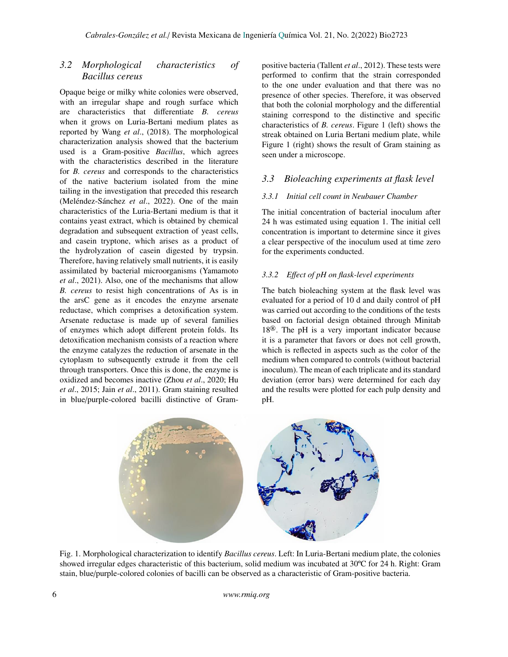# *3.2 Morphological characteristics of Bacillus cereus*

Opaque beige or milky white colonies were observed, with an irregular shape and rough surface which are characteristics that differentiate *B. cereus* when it grows on Luria-Bertani medium plates as reported by Wang *et al*., (2018). The morphological characterization analysis showed that the bacterium used is a Gram-positive *Bacillus*, which agrees with the characteristics described in the literature for *B. cereus* and corresponds to the characteristics of the native bacterium isolated from the mine tailing in the investigation that preceded this research (Meléndez-Sánchez *et al*., 2022). One of the main characteristics of the Luria-Bertani medium is that it contains yeast extract, which is obtained by chemical degradation and subsequent extraction of yeast cells, and casein tryptone, which arises as a product of the hydrolyzation of casein digested by trypsin. Therefore, having relatively small nutrients, it is easily assimilated by bacterial microorganisms (Yamamoto *et al*., 2021). Also, one of the mechanisms that allow *B. cereus* to resist high concentrations of As is in the arsC gene as it encodes the enzyme arsenate reductase, which comprises a detoxification system. Arsenate reductase is made up of several families of enzymes which adopt different protein folds. Its detoxification mechanism consists of a reaction where the enzyme catalyzes the reduction of arsenate in the cytoplasm to subsequently extrude it from the cell through transporters. Once this is done, the enzyme is oxidized and becomes inactive (Zhou *et al*., 2020; Hu *et al*., 2015; Jain *et al*., 2011). Gram staining resulted in blue/purple-colored bacilli distinctive of Grampositive bacteria (Tallent *et al*., 2012). These tests were performed to confirm that the strain corresponded to the one under evaluation and that there was no presence of other species. Therefore, it was observed that both the colonial morphology and the differential staining correspond to the distinctive and specific characteristics of *B. cereus*. Figure 1 (left) shows the streak obtained on Luria Bertani medium plate, while Figure 1 (right) shows the result of Gram staining as seen under a microscope.

# *3.3 Bioleaching experiments at flask level*

### *3.3.1 Initial cell count in Neubauer Chamber*

The initial concentration of bacterial inoculum after 24 h was estimated using equation 1. The initial cell concentration is important to determine since it gives a clear perspective of the inoculum used at time zero for the experiments conducted.

### *3.3.2 E*ff*ect of pH on flask-level experiments*

The batch bioleaching system at the flask level was evaluated for a period of 10 d and daily control of pH was carried out according to the conditions of the tests based on factorial design obtained through Minitab 18®. The pH is a very important indicator because it is a parameter that favors or does not cell growth, which is reflected in aspects such as the color of the medium when compared to controls (without bacterial inoculum). The mean of each triplicate and its standard deviation (error bars) were determined for each day and the results were plotted for each pulp density and pH.



Fig. 1. Morphological characterization to identify *Bacillus cereus*. Left: In Luria-Bertani medium plate, the colonies showed irregular edges characteristic of this bacterium, solid medium was incubated at 30ºC for 24 h. Right: Gram stain, blue/purple-colored colonies of bacilli can be observed as a characteristic of Gram-positive bacteria.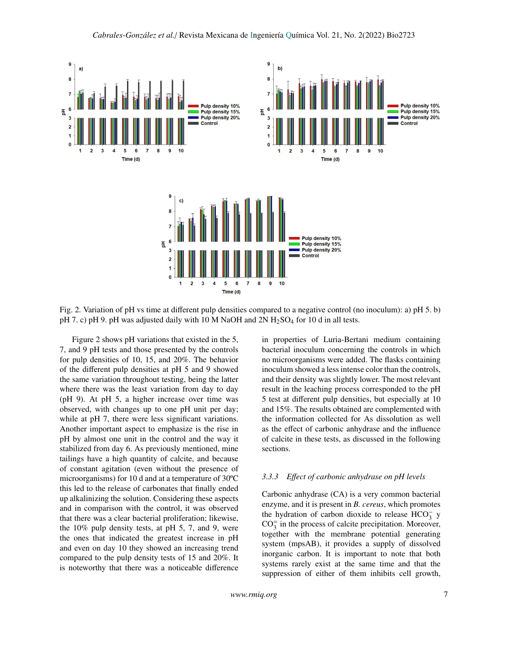

Fig. 2. Variation of pH vs time at different pulp densities compared to a negative control (no inoculum): a) pH 5. b) pH 7. c) pH 9. pH was adjusted daily with 10 M NaOH and  $2N H_2SO_4$  for 10 d in all tests.

Figure 2 shows pH variations that existed in the 5, 7, and 9 pH tests and those presented by the controls for pulp densities of 10, 15, and 20%. The behavior of the different pulp densities at pH 5 and 9 showed the same variation throughout testing, being the latter where there was the least variation from day to day (pH 9). At pH 5, a higher increase over time was observed, with changes up to one pH unit per day; while at pH 7, there were less significant variations. Another important aspect to emphasize is the rise in pH by almost one unit in the control and the way it stabilized from day 6. As previously mentioned, mine tailings have a high quantity of calcite, and because of constant agitation (even without the presence of microorganisms) for 10 d and at a temperature of 30ºC this led to the release of carbonates that finally ended up alkalinizing the solution. Considering these aspects and in comparison with the control, it was observed that there was a clear bacterial proliferation; likewise, the 10% pulp density tests, at pH 5, 7, and 9, were the ones that indicated the greatest increase in pH and even on day 10 they showed an increasing trend compared to the pulp density tests of 15 and 20%. It is noteworthy that there was a noticeable difference in properties of Luria-Bertani medium containing bacterial inoculum concerning the controls in which no microorganisms were added. The flasks containing inoculum showed a less intense color than the controls, and their density was slightly lower. The most relevant result in the leaching process corresponded to the pH 5 test at different pulp densities, but especially at 10 and 15%. The results obtained are complemented with the information collected for As dissolution as well as the effect of carbonic anhydrase and the influence of calcite in these tests, as discussed in the following sections.

#### *3.3.3 E*ff*ect of carbonic anhydrase on pH levels*

Carbonic anhydrase (CA) is a very common bacterial enzyme, and it is present in *B. cereus*, which promotes the hydration of carbon dioxide to release  $HCO_3^-$  y  $CO_3^-$  in the process of calcite precipitation. Moreover, together with the membrane potential generating system (mpsAB), it provides a supply of dissolved inorganic carbon. It is important to note that both systems rarely exist at the same time and that the suppression of either of them inhibits cell growth,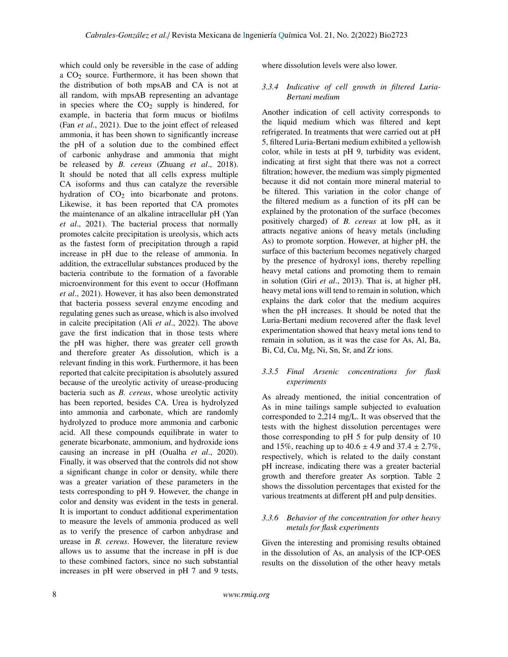which could only be reversible in the case of adding a  $CO<sub>2</sub>$  source. Furthermore, it has been shown that the distribution of both mpsAB and CA is not at all random, with mpsAB representing an advantage in species where the  $CO<sub>2</sub>$  supply is hindered, for example, in bacteria that form mucus or biofilms (Fan *et al*., 2021). Due to the joint effect of released ammonia, it has been shown to significantly increase the pH of a solution due to the combined effect of carbonic anhydrase and ammonia that might be released by *B. cereus* (Zhuang *et al*., 2018). It should be noted that all cells express multiple CA isoforms and thus can catalyze the reversible hydration of  $CO<sub>2</sub>$  into bicarbonate and protons. Likewise, it has been reported that CA promotes the maintenance of an alkaline intracellular pH (Yan *et al*., 2021). The bacterial process that normally promotes calcite precipitation is ureolysis, which acts as the fastest form of precipitation through a rapid increase in pH due to the release of ammonia. In addition, the extracellular substances produced by the bacteria contribute to the formation of a favorable microenvironment for this event to occur (Hoffmann *et al*., 2021). However, it has also been demonstrated that bacteria possess several enzyme encoding and regulating genes such as urease, which is also involved in calcite precipitation (Ali *et al*., 2022). The above gave the first indication that in those tests where the pH was higher, there was greater cell growth and therefore greater As dissolution, which is a relevant finding in this work. Furthermore, it has been reported that calcite precipitation is absolutely assured because of the ureolytic activity of urease-producing bacteria such as *B. cereus*, whose ureolytic activity has been reported, besides CA. Urea is hydrolyzed into ammonia and carbonate, which are randomly hydrolyzed to produce more ammonia and carbonic acid. All these compounds equilibrate in water to generate bicarbonate, ammonium, and hydroxide ions causing an increase in pH (Oualha *et al*., 2020). Finally, it was observed that the controls did not show a significant change in color or density, while there was a greater variation of these parameters in the tests corresponding to pH 9. However, the change in color and density was evident in the tests in general. It is important to conduct additional experimentation to measure the levels of ammonia produced as well as to verify the presence of carbon anhydrase and urease in *B. cereus*. However, the literature review allows us to assume that the increase in pH is due to these combined factors, since no such substantial increases in pH were observed in pH 7 and 9 tests, where dissolution levels were also lower.

### *3.3.4 Indicative of cell growth in filtered Luria-Bertani medium*

Another indication of cell activity corresponds to the liquid medium which was filtered and kept refrigerated. In treatments that were carried out at pH 5, filtered Luria-Bertani medium exhibited a yellowish color, while in tests at pH 9, turbidity was evident, indicating at first sight that there was not a correct filtration; however, the medium was simply pigmented because it did not contain more mineral material to be filtered. This variation in the color change of the filtered medium as a function of its pH can be explained by the protonation of the surface (becomes positively charged) of *B. cereus* at low pH, as it attracts negative anions of heavy metals (including As) to promote sorption. However, at higher pH, the surface of this bacterium becomes negatively charged by the presence of hydroxyl ions, thereby repelling heavy metal cations and promoting them to remain in solution (Giri *et al*., 2013). That is, at higher pH, heavy metal ions will tend to remain in solution, which explains the dark color that the medium acquires when the pH increases. It should be noted that the Luria-Bertani medium recovered after the flask level experimentation showed that heavy metal ions tend to remain in solution, as it was the case for As, Al, Ba, Bi, Cd, Cu, Mg, Ni, Sn, Sr, and Zr ions.

### *3.3.5 Final Arsenic concentrations for flask experiments*

As already mentioned, the initial concentration of As in mine tailings sample subjected to evaluation corresponded to 2,214 mg/L. It was observed that the tests with the highest dissolution percentages were those corresponding to pH 5 for pulp density of 10 and 15%, reaching up to  $40.6 \pm 4.9$  and  $37.4 \pm 2.7$ %, respectively, which is related to the daily constant pH increase, indicating there was a greater bacterial growth and therefore greater As sorption. Table 2 shows the dissolution percentages that existed for the various treatments at different pH and pulp densities.

#### *3.3.6 Behavior of the concentration for other heavy metals for flask experiments*

Given the interesting and promising results obtained in the dissolution of As, an analysis of the ICP-OES results on the dissolution of the other heavy metals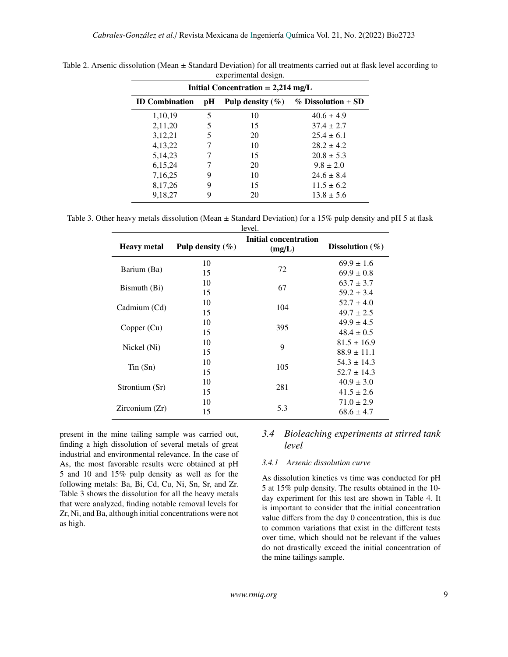| Initial Concentration = $2,214 \text{ mg/L}$ |    |                      |                          |
|----------------------------------------------|----|----------------------|--------------------------|
| <b>ID</b> Combination                        | pН | Pulp density $(\% )$ | $%$ Dissolution $\pm$ SD |
| 1,10,19                                      | 5  | 10                   | $40.6 \pm 4.9$           |
| 2,11,20                                      | 5  | 15                   | $37.4 \pm 2.7$           |
| 3,12,21                                      | 5  | 20                   | $25.4 \pm 6.1$           |
| 4,13,22                                      |    | 10                   | $28.2 \pm 4.2$           |
| 5, 14, 23                                    |    | 15                   | $20.8 \pm 5.3$           |
| 6,15,24                                      |    | 20                   | $9.8 \pm 2.0$            |
| 7,16,25                                      | 9  | 10                   | $24.6 \pm 8.4$           |
| 8,17,26                                      | 9  | 15                   | $11.5 \pm 6.2$           |
| 9,18,27                                      | 9  | 20                   | $13.8 \pm 5.6$           |

Table 2. Arsenic dissolution (Mean  $\pm$  Standard Deviation) for all treatments carried out at flask level according to experimental design.

Table 3. Other heavy metals dissolution (Mean  $\pm$  Standard Deviation) for a 15% pulp density and pH 5 at flask  $1.2.21$ 

| level.             |                      |                                 |                     |
|--------------------|----------------------|---------------------------------|---------------------|
| <b>Heavy metal</b> | Pulp density $(\% )$ | Initial concentration<br>(mg/L) | Dissolution $(\% )$ |
|                    | 10                   |                                 | $69.9 \pm 1.6$      |
| Barium (Ba)        | 15                   | 72                              | $69.9 \pm 0.8$      |
| Bismuth (Bi)       | 10                   | 67                              | $63.7 \pm 3.7$      |
|                    | 15                   |                                 | $59.2 \pm 3.4$      |
| Cadmium (Cd)       | 10                   | 104                             | $52.7 \pm 4.0$      |
|                    | 15                   |                                 | $49.7 \pm 2.5$      |
| Copper (Cu)        | 10                   | 395                             | $49.9 \pm 4.5$      |
|                    | 15                   |                                 | $48.4 \pm 0.5$      |
| Nickel (Ni)        | 10                   | 9                               | $81.5 \pm 16.9$     |
|                    | 15                   |                                 | $88.9 \pm 11.1$     |
| $T$ in $(Sn)$      | 10                   | 105                             | $54.3 \pm 14.3$     |
|                    | 15                   |                                 | $52.7 \pm 14.3$     |
| Strontium (Sr)     | 10                   | 281                             | $40.9 \pm 3.0$      |
|                    | 15                   |                                 | $41.5 \pm 2.6$      |
|                    | 10                   | 5.3                             | $71.0 \pm 2.9$      |
| Zirconium(Zr)      | 15                   |                                 | $68.6 \pm 4.7$      |

present in the mine tailing sample was carried out, finding a high dissolution of several metals of great industrial and environmental relevance. In the case of As, the most favorable results were obtained at pH 5 and 10 and 15% pulp density as well as for the following metals: Ba, Bi, Cd, Cu, Ni, Sn, Sr, and Zr. Table 3 shows the dissolution for all the heavy metals that were analyzed, finding notable removal levels for Zr, Ni, and Ba, although initial concentrations were not as high.

# *3.4 Bioleaching experiments at stirred tank level*

### *3.4.1 Arsenic dissolution curve*

As dissolution kinetics vs time was conducted for pH 5 at 15% pulp density. The results obtained in the 10 day experiment for this test are shown in Table 4. It is important to consider that the initial concentration value differs from the day 0 concentration, this is due to common variations that exist in the different tests over time, which should not be relevant if the values do not drastically exceed the initial concentration of the mine tailings sample.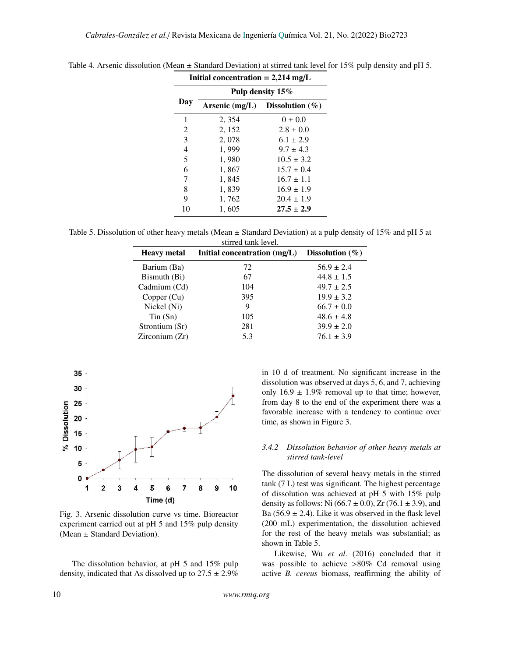| Initial concentration $= 2,214$ mg/L |                  |                                    |  |
|--------------------------------------|------------------|------------------------------------|--|
|                                      | Pulp density 15% |                                    |  |
| Day                                  |                  | Arsenic (mg/L) Dissolution $(\% )$ |  |
| 1                                    | 2, 354           | $0 \pm 0.0$                        |  |
| 2                                    | 2, 152           | $2.8 \pm 0.0$                      |  |
| 3                                    | 2,078            | $6.1 \pm 2.9$                      |  |
| $\overline{4}$                       | 1,999            | $9.7 \pm 4.3$                      |  |
| 5                                    | 1,980            | $10.5 \pm 3.2$                     |  |
| 6                                    | 1,867            | $15.7 \pm 0.4$                     |  |
| 7                                    | 1,845            | $16.7 \pm 1.1$                     |  |
| 8                                    | 1,839            | $16.9 \pm 1.9$                     |  |
| 9                                    | 1,762            | $20.4 \pm 1.9$                     |  |
| 10                                   | 1,605            | $27.5 \pm 2.9$                     |  |

Table 4. Arsenic dissolution (Mean ± Standard Deviation) at stirred tank level for 15% pulp density and pH 5.

Table 5. Dissolution of other heavy metals (Mean  $\pm$  Standard Deviation) at a pulp density of 15% and pH 5 at stirred tank level.

| <b>Heavy</b> metal | Initial concentration $(mg/L)$ | Dissolution $(\% )$ |
|--------------------|--------------------------------|---------------------|
| Barium (Ba)        | 72                             | $56.9 \pm 2.4$      |
| Bismuth (Bi)       | 67                             | $44.8 \pm 1.5$      |
| Cadmium (Cd)       | 104                            | $49.7 \pm 2.5$      |
| Copper (Cu)        | 395                            | $19.9 \pm 3.2$      |
| Nickel (Ni)        | 9                              | $66.7 \pm 0.0$      |
| Tin(Sn)            | 105                            | $48.6 \pm 4.8$      |
| Strontium (Sr)     | 281                            | $39.9 \pm 2.0$      |
| Zirconium (Zr)     | 5.3                            | $76.1 \pm 3.9$      |



Fig. 3. Arsenic dissolution curve vs time. Bioreactor experiment carried out at pH 5 and 15% pulp density (Mean ± Standard Deviation).

The dissolution behavior, at pH 5 and 15% pulp density, indicated that As dissolved up to  $27.5 \pm 2.9\%$  in 10 d of treatment. No significant increase in the dissolution was observed at days 5, 6, and 7, achieving only  $16.9 \pm 1.9\%$  removal up to that time; however, from day 8 to the end of the experiment there was a favorable increase with a tendency to continue over time, as shown in Figure 3.

### *3.4.2 Dissolution behavior of other heavy metals at stirred tank-level*

The dissolution of several heavy metals in the stirred tank (7 L) test was significant. The highest percentage of dissolution was achieved at pH 5 with 15% pulp density as follows: Ni  $(66.7 \pm 0.0)$ , Zr  $(76.1 \pm 3.9)$ , and Ba (56.9  $\pm$  2.4). Like it was observed in the flask level (200 mL) experimentation, the dissolution achieved for the rest of the heavy metals was substantial; as shown in Table 5.

Likewise, Wu *et al*. (2016) concluded that it was possible to achieve >80% Cd removal using active *B. cereus* biomass, reaffirming the ability of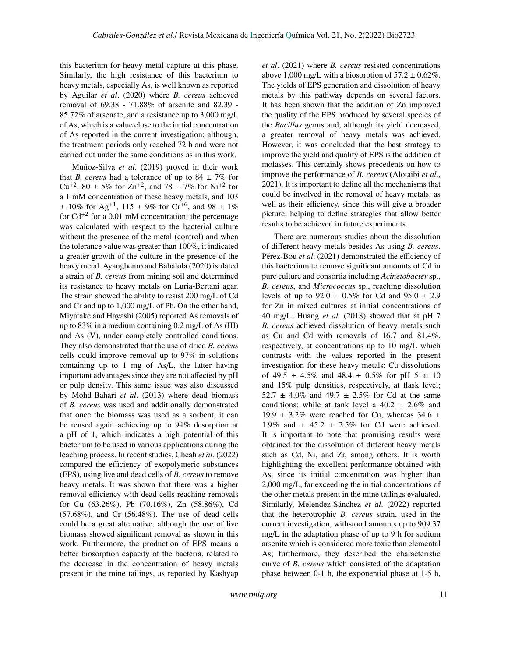this bacterium for heavy metal capture at this phase. Similarly, the high resistance of this bacterium to heavy metals, especially As, is well known as reported by Aguilar *et al*. (2020) where *B. cereus* achieved removal of 69.38 - 71.88% of arsenite and 82.39 - 85.72% of arsenate, and a resistance up to 3,000 mg/L of As, which is a value close to the initial concentration of As reported in the current investigation; although, the treatment periods only reached 72 h and were not carried out under the same conditions as in this work.

Muñoz-Silva *et al*. (2019) proved in their work that *B. cereus* had a tolerance of up to  $84 \pm 7\%$  for Cu<sup>+2</sup>, 80  $\pm$  5% for Zn<sup>+2</sup>, and 78  $\pm$  7% for Ni<sup>+2</sup> for a 1 mM concentration of these heavy metals, and 103  $\pm$  10% for Ag<sup>+1</sup>, 115  $\pm$  9% for Cr<sup>+6</sup>, and 98  $\pm$  1% for  $Cd^{+2}$  for a 0.01 mM concentration; the percentage was calculated with respect to the bacterial culture without the presence of the metal (control) and when the tolerance value was greater than 100%, it indicated a greater growth of the culture in the presence of the heavy metal. Ayangbenro and Babalola (2020) isolated a strain of *B. cereus* from mining soil and determined its resistance to heavy metals on Luria-Bertani agar. The strain showed the ability to resist 200 mg/L of Cd and Cr and up to 1,000 mg/L of Pb. On the other hand, Miyatake and Hayashi (2005) reported As removals of up to  $83\%$  in a medium containing 0.2 mg/L of As (III) and As (V), under completely controlled conditions. They also demonstrated that the use of dried *B. cereus* cells could improve removal up to 97% in solutions containing up to 1 mg of As/L, the latter having important advantages since they are not affected by pH or pulp density. This same issue was also discussed by Mohd-Bahari *et al*. (2013) where dead biomass of *B. cereus* was used and additionally demonstrated that once the biomass was used as a sorbent, it can be reused again achieving up to 94% desorption at a pH of 1, which indicates a high potential of this bacterium to be used in various applications during the leaching process. In recent studies, Cheah *et al*. (2022) compared the efficiency of exopolymeric substances (EPS), using live and dead cells of *B. cereus* to remove heavy metals. It was shown that there was a higher removal efficiency with dead cells reaching removals for Cu (63.26%), Pb (70.16%), Zn (58.86%), Cd (57.68%), and Cr (56.48%). The use of dead cells could be a great alternative, although the use of live biomass showed significant removal as shown in this work. Furthermore, the production of EPS means a better biosorption capacity of the bacteria, related to the decrease in the concentration of heavy metals present in the mine tailings, as reported by Kashyap *et al*. (2021) where *B. cereus* resisted concentrations above 1,000 mg/L with a biosorption of  $57.2 \pm 0.62\%$ . The yields of EPS generation and dissolution of heavy metals by this pathway depends on several factors. It has been shown that the addition of Zn improved the quality of the EPS produced by several species of the *Bacillus* genus and, although its yield decreased, a greater removal of heavy metals was achieved. However, it was concluded that the best strategy to improve the yield and quality of EPS is the addition of molasses. This certainly shows precedents on how to improve the performance of *B. cereus* (Alotaibi *et al*., 2021). It is important to define all the mechanisms that could be involved in the removal of heavy metals, as well as their efficiency, since this will give a broader picture, helping to define strategies that allow better results to be achieved in future experiments.

There are numerous studies about the dissolution of different heavy metals besides As using *B. cereus*. Pérez-Bou *et al*. (2021) demonstrated the efficiency of this bacterium to remove significant amounts of Cd in pure culture and consortia including *Acinetobacter* sp., *B. cereus*, and *Micrococcus* sp., reaching dissolution levels of up to  $92.0 \pm 0.5\%$  for Cd and  $95.0 \pm 2.9$ for Zn in mixed cultures at initial concentrations of 40 mg/L. Huang *et al*. (2018) showed that at pH 7 *B. cereus* achieved dissolution of heavy metals such as Cu and Cd with removals of 16.7 and 81.4%, respectively, at concentrations up to 10 mg/L which contrasts with the values reported in the present investigation for these heavy metals: Cu dissolutions of 49.5  $\pm$  4.5% and 48.4  $\pm$  0.5% for pH 5 at 10 and 15% pulp densities, respectively, at flask level; 52.7  $\pm$  4.0% and 49.7  $\pm$  2.5% for Cd at the same conditions; while at tank level a  $40.2 \pm 2.6\%$  and 19.9  $\pm$  3.2% were reached for Cu, whereas 34.6  $\pm$ 1.9% and  $\pm$  45.2  $\pm$  2.5% for Cd were achieved. It is important to note that promising results were obtained for the dissolution of different heavy metals such as Cd, Ni, and Zr, among others. It is worth highlighting the excellent performance obtained with As, since its initial concentration was higher than 2,000 mg/L, far exceeding the initial concentrations of the other metals present in the mine tailings evaluated. Similarly, Meléndez-Sánchez *et al*. (2022) reported that the heterotrophic *B. cereus* strain, used in the current investigation, withstood amounts up to 909.37 mg/L in the adaptation phase of up to 9 h for sodium arsenite which is considered more toxic than elemental As; furthermore, they described the characteristic curve of *B. cereus* which consisted of the adaptation phase between 0-1 h, the exponential phase at 1-5 h,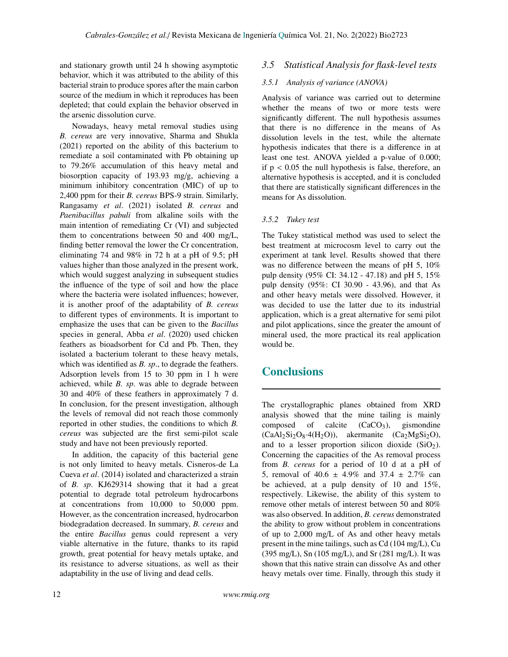and stationary growth until 24 h showing asymptotic behavior, which it was attributed to the ability of this bacterial strain to produce spores after the main carbon source of the medium in which it reproduces has been depleted; that could explain the behavior observed in the arsenic dissolution curve.

Nowadays, heavy metal removal studies using *B. cereus* are very innovative, Sharma and Shukla (2021) reported on the ability of this bacterium to remediate a soil contaminated with Pb obtaining up to 79.26% accumulation of this heavy metal and biosorption capacity of 193.93 mg/g, achieving a minimum inhibitory concentration (MIC) of up to 2,400 ppm for their *B. cereus* BPS-9 strain. Similarly, Rangasamy *et al*. (2021) isolated *B. cereus* and *Paenibacillus pabuli* from alkaline soils with the main intention of remediating Cr (VI) and subjected them to concentrations between 50 and 400 mg/L, finding better removal the lower the Cr concentration, eliminating 74 and 98% in 72 h at a pH of 9.5; pH values higher than those analyzed in the present work, which would suggest analyzing in subsequent studies the influence of the type of soil and how the place where the bacteria were isolated influences; however, it is another proof of the adaptability of *B. cereus* to different types of environments. It is important to emphasize the uses that can be given to the *Bacillus* species in general, Abba *et al*. (2020) used chicken feathers as bioadsorbent for Cd and Pb. Then, they isolated a bacterium tolerant to these heavy metals, which was identified as *B. sp*., to degrade the feathers. Adsorption levels from 15 to 30 ppm in 1 h were achieved, while *B. sp*. was able to degrade between 30 and 40% of these feathers in approximately 7 d. In conclusion, for the present investigation, although the levels of removal did not reach those commonly reported in other studies, the conditions to which *B. cereus* was subjected are the first semi-pilot scale study and have not been previously reported.

In addition, the capacity of this bacterial gene is not only limited to heavy metals. Cisneros-de La Cueva *et al*. (2014) isolated and characterized a strain of *B. sp*. KJ629314 showing that it had a great potential to degrade total petroleum hydrocarbons at concentrations from 10,000 to 50,000 ppm. However, as the concentration increased, hydrocarbon biodegradation decreased. In summary, *B. cereus* and the entire *Bacillus* genus could represent a very viable alternative in the future, thanks to its rapid growth, great potential for heavy metals uptake, and its resistance to adverse situations, as well as their adaptability in the use of living and dead cells.

### *3.5 Statistical Analysis for flask-level tests*

#### *3.5.1 Analysis of variance (ANOVA)*

Analysis of variance was carried out to determine whether the means of two or more tests were significantly different. The null hypothesis assumes that there is no difference in the means of As dissolution levels in the test, while the alternate hypothesis indicates that there is a difference in at least one test. ANOVA yielded a p-value of 0.000; if  $p < 0.05$  the null hypothesis is false, therefore, an alternative hypothesis is accepted, and it is concluded that there are statistically significant differences in the means for As dissolution.

#### *3.5.2 Tukey test*

The Tukey statistical method was used to select the best treatment at microcosm level to carry out the experiment at tank level. Results showed that there was no difference between the means of pH 5, 10% pulp density (95% CI: 34.12 - 47.18) and pH 5, 15% pulp density (95%: CI 30.90 - 43.96), and that As and other heavy metals were dissolved. However, it was decided to use the latter due to its industrial application, which is a great alternative for semi pilot and pilot applications, since the greater the amount of mineral used, the more practical its real application would be.

# **Conclusions**

The crystallographic planes obtained from XRD analysis showed that the mine tailing is mainly composed of calcite  $(CaCO<sub>3</sub>)$ , gismondine  $(CaAl<sub>2</sub>Si<sub>2</sub>O<sub>8</sub>·4(H<sub>2</sub>O))$ , akermanite  $(Ca<sub>2</sub>MgSi<sub>2</sub>O)$ , and to a lesser proportion silicon dioxide  $(SiO<sub>2</sub>)$ . Concerning the capacities of the As removal process from *B. cereus* for a period of 10 d at a pH of 5, removal of 40.6  $\pm$  4.9% and 37.4  $\pm$  2.7% can be achieved, at a pulp density of 10 and 15%, respectively. Likewise, the ability of this system to remove other metals of interest between 50 and 80% was also observed. In addition, *B. cereus* demonstrated the ability to grow without problem in concentrations of up to 2,000 mg/L of As and other heavy metals present in the mine tailings, such as Cd (104 mg/L), Cu (395 mg/L), Sn (105 mg/L), and Sr (281 mg/L). It was shown that this native strain can dissolve As and other heavy metals over time. Finally, through this study it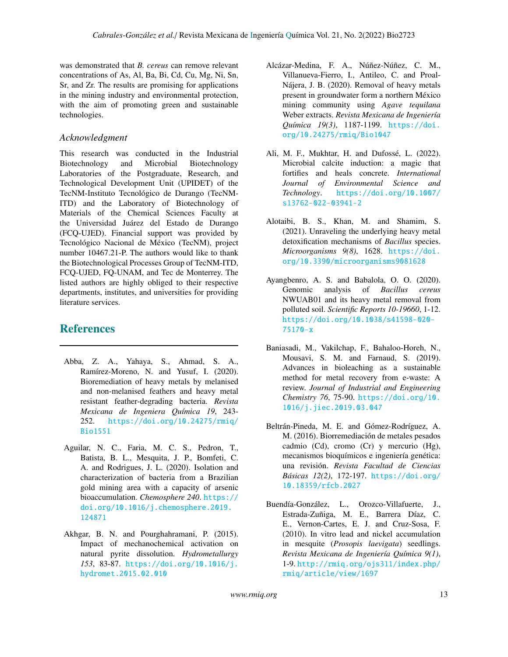was demonstrated that *B. cereus* can remove relevant concentrations of As, Al, Ba, Bi, Cd, Cu, Mg, Ni, Sn, Sr, and Zr. The results are promising for applications in the mining industry and environmental protection, with the aim of promoting green and sustainable technologies.

# *Acknowledgment*

This research was conducted in the Industrial Biotechnology and Microbial Biotechnology Laboratories of the Postgraduate, Research, and Technological Development Unit (UPIDET) of the TecNM-Instituto Tecnológico de Durango (TecNM-ITD) and the Laboratory of Biotechnology of Materials of the Chemical Sciences Faculty at the Universidad Juárez del Estado de Durango (FCQ-UJED). Financial support was provided by Tecnológico Nacional de México (TecNM), project number 10467.21-P. The authors would like to thank the Biotechnological Processes Group of TecNM-ITD, FCQ-UJED, FQ-UNAM, and Tec de Monterrey. The listed authors are highly obliged to their respective departments, institutes, and universities for providing literature services.

# References

- Abba, Z. A., Yahaya, S., Ahmad, S. A., Ramírez-Moreno, N. and Yusuf, I. (2020). Bioremediation of heavy metals by melanised and non-melanised feathers and heavy metal resistant feather-degrading bacteria. *Revista Mexicana de Ingeniera Química 19*, 243- 252. [https://doi.org/10.24275/rmiq/](https://doi.org/10.24275/rmiq/Bio1551) [Bio1551](https://doi.org/10.24275/rmiq/Bio1551)
- Aguilar, N. C., Faria, M. C. S., Pedron, T., Batista, B. L., Mesquita, J. P., Bomfeti, C. A. and Rodrigues, J. L. (2020). Isolation and characterization of bacteria from a Brazilian gold mining area with a capacity of arsenic bioaccumulation. *Chemosphere 240*. [https://](https://doi.org/10.1016/j.chemosphere.2019.124871) [doi.org/10.1016/j.chemosphere.2019.](https://doi.org/10.1016/j.chemosphere.2019.124871) [124871](https://doi.org/10.1016/j.chemosphere.2019.124871)
- Akhgar, B. N. and Pourghahramani, P. (2015). Impact of mechanochemical activation on natural pyrite dissolution. *Hydrometallurgy 153*, 83-87. [https://doi.org/10.1016/j.](https://doi.org/10.1016/j.hydromet.2015.02.010) [hydromet.2015.02.010](https://doi.org/10.1016/j.hydromet.2015.02.010)
- Alcázar-Medina, F. A., Núñez-Núñez, C. M., Villanueva-Fierro, I., Antileo, C. and Proal-Nájera, J. B. (2020). Removal of heavy metals present in groundwater form a northern México mining community using *Agave tequilana* Weber extracts. *Revista Mexicana de Ingeniería Química 19(3)*, 1187-1199. [https://doi.](https://doi.org/10.24275/rmiq/Bio1047) [org/10.24275/rmiq/Bio1047](https://doi.org/10.24275/rmiq/Bio1047)
- Ali, M. F., Mukhtar, H. and Dufossé, L. (2022). Microbial calcite induction: a magic that fortifies and heals concrete. *International Journal of Environmental Science and Technology*. [https://doi.org/10.1007/](https://doi.org/10.1007/s13762-022-03941-2) [s13762-022-03941-2](https://doi.org/10.1007/s13762-022-03941-2)
- Alotaibi, B. S., Khan, M. and Shamim, S. (2021). Unraveling the underlying heavy metal detoxification mechanisms of *Bacillus* species. *Microorganisms 9(8)*, 1628. [https://doi.](https://doi.org/10.3390/microorganisms9081628) [org/10.3390/microorganisms9081628](https://doi.org/10.3390/microorganisms9081628)
- Ayangbenro, A. S. and Babalola, O. O. (2020). Genomic analysis of *Bacillus cereus* NWUAB01 and its heavy metal removal from polluted soil. *Scientific Reports 10-19660*, 1-12. [https://doi.org/10.1038/s41598-020-](https://doi.org/10.1038/s41598-020-75170-x) [75170-x](https://doi.org/10.1038/s41598-020-75170-x)
- Baniasadi, M., Vakilchap, F., Bahaloo-Horeh, N., Mousavi, S. M. and Farnaud, S. (2019). Advances in bioleaching as a sustainable method for metal recovery from e-waste: A review. *Journal of Industrial and Engineering Chemistry 76*, 75-90. [https://doi.org/10.](https://doi.org/10.1016/j.jiec.2019.03.047) [1016/j.jiec.2019.03.047](https://doi.org/10.1016/j.jiec.2019.03.047)
- Beltrán-Pineda, M. E. and Gómez-Rodríguez, A. M. (2016). Biorremediación de metales pesados cadmio (Cd), cromo (Cr) y mercurio (Hg), mecanismos bioquímicos e ingeniería genética: una revisión. *Revista Facultad de Ciencias Básicas 12(2)*, 172-197. [https://doi.org/](https://doi.org/10.18359/rfcb.2027) [10.18359/rfcb.2027](https://doi.org/10.18359/rfcb.2027)
- Buendía-González, L., Orozco-Villafuerte, J., Estrada-Zuñiga, M. E., Barrera Díaz, C. E., Vernon-Cartes, E. J. and Cruz-Sosa, F. (2010). In vitro lead and nickel accumulation in mesquite (*Prosopis laevigata*) seedlings. *Revista Mexicana de Ingeniería Química 9(1)*, 1-9. [http://rmiq.org/ojs311/index.php/](http://rmiq.org/ojs311/index.php/rmiq/article/view/1697) [rmiq/article/view/1697](http://rmiq.org/ojs311/index.php/rmiq/article/view/1697)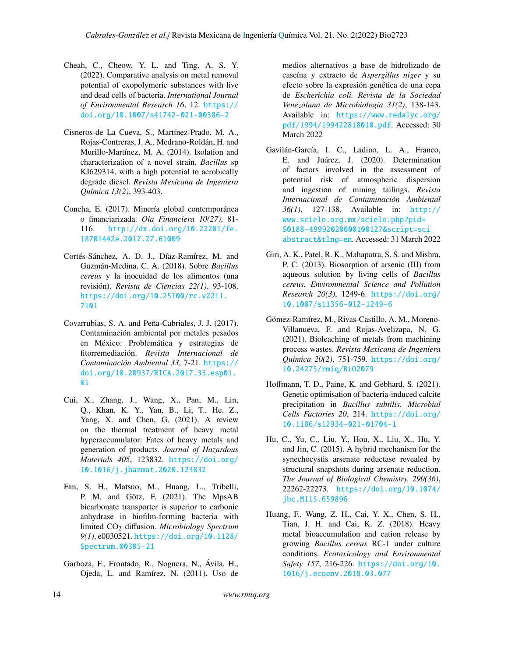- Cheah, C., Cheow, Y. L. and Ting, A. S. Y. (2022). Comparative analysis on metal removal potential of exopolymeric substances with live and dead cells of bacteria. *International Journal of Environmental Research 16*, 12. [https://](https://doi.org/10.1007/s41742-021-00386-2) [doi.org/10.1007/s41742-021-00386-2](https://doi.org/10.1007/s41742-021-00386-2)
- Cisneros-de La Cueva, S., Martínez-Prado, M. A., Rojas-Contreras, J. A., Medrano-Roldán, H. and Murillo-Martínez, M. A. (2014). Isolation and characterization of a novel strain, *Bacillus* sp KJ629314, with a high potential to aerobically degrade diesel. *Revista Mexicana de Ingeniera Química 13(2)*, 393-403.
- Concha, E. (2017). Minería global contemporánea o financiarizada. *Ola Financiera 10(27)*, 81- 116. [http://dx.doi.org/10.22201/fe.](http://dx.doi.org/10.22201/fe.18701442e.2017.27.61009) [18701442e.2017.27.61009](http://dx.doi.org/10.22201/fe.18701442e.2017.27.61009)
- Cortés-Sánchez, A. D. J., Díaz-Ramírez, M. and Guzmán-Medina, C. A. (2018). Sobre *Bacillus cereus* y la inocuidad de los alimentos (una revisión). *Revista de Ciencias 22(1)*, 93-108. [https://doi.org/10.25100/rc.v22i1.](https://doi.org/10.25100/rc.v22i1.7101) [7101](https://doi.org/10.25100/rc.v22i1.7101)
- Covarrubias, S. A. and Peña-Cabriales, J. J. (2017). Contaminación ambiental por metales pesados en México: Problemática y estrategias de fitorremediación. *Revista Internacional de Contaminación Ambiental 33*, 7-21. [https://](https://doi.org/10.20937/RICA.2017.33.esp01.01) [doi.org/10.20937/RICA.2017.33.esp01.](https://doi.org/10.20937/RICA.2017.33.esp01.01) [01](https://doi.org/10.20937/RICA.2017.33.esp01.01)
- Cui, X., Zhang, J., Wang, X., Pan, M., Lin, Q., Khan, K. Y., Yan, B., Li, T., He, Z., Yang, X. and Chen, G. (2021). A review on the thermal treatment of heavy metal hyperaccumulator: Fates of heavy metals and generation of products. *Journal of Hazardous Materials 405*, 123832. [https://doi.org/](https://doi.org/10.1016/j.jhazmat.2020.123832) [10.1016/j.jhazmat.2020.123832](https://doi.org/10.1016/j.jhazmat.2020.123832)
- Fan, S. H., Matsuo, M., Huang, L., Tribelli, P. M. and Götz, F. (2021). The MpsAB bicarbonate transporter is superior to carbonic anhydrase in biofilm-forming bacteria with limited CO<sup>2</sup> diffusion. *Microbiology Spectrum 9(1)*, e0030521. [https://doi.org/10.1128/](https://doi.org/10.1128/Spectrum.00305-21) [Spectrum.00305-21](https://doi.org/10.1128/Spectrum.00305-21)
- Garboza, F., Frontado, R., Noguera, N., Ávila, H., Ojeda, L. and Ramírez, N. (2011). Uso de

medios alternativos a base de hidrolizado de caseína y extracto de *Aspergillus niger* y su efecto sobre la expresión genética de una cepa de *Escherichia coli. Revista de la Sociedad Venezolana de Microbiología 31(2)*, 138-143. Available in: [https://www.redalyc.org/](https://www.redalyc.org/pdf/1994/199422818010.pdf) [pdf/1994/199422818010.pdf](https://www.redalyc.org/pdf/1994/199422818010.pdf). Accessed: 30 March 2022

- Gavilán-García, I. C., Ladino, L. A., Franco, E. and Juárez, J. (2020). Determination of factors involved in the assessment of potential risk of atmospheric dispersion and ingestion of mining tailings. *Revista Internacional de Contaminación Ambiental 36(1)*, 127-138. Available in: [http://](http://www.scielo.org.mx/scielo.php?pid=S0188-49992020000100127&script=sci_abstract&tlng=en) [www.scielo.org.mx/scielo.php?pid=](http://www.scielo.org.mx/scielo.php?pid=S0188-49992020000100127&script=sci_abstract&tlng=en) [S0188-49992020000100127&script=sci\\_](http://www.scielo.org.mx/scielo.php?pid=S0188-49992020000100127&script=sci_abstract&tlng=en) [abstract&tlng=en](http://www.scielo.org.mx/scielo.php?pid=S0188-49992020000100127&script=sci_abstract&tlng=en). Accessed: 31 March 2022
- Giri, A. K., Patel, R. K., Mahapatra, S. S. and Mishra, P. C. (2013). Biosorption of arsenic (III) from aqueous solution by living cells of *Bacillus cereus. Environmental Science and Pollution Research 20(3)*, 1249-6. [https://doi.org/](https://doi.org/10.1007/s11356-012-1249-6) [10.1007/s11356-012-1249-6](https://doi.org/10.1007/s11356-012-1249-6)
- Gómez-Ramírez, M., Rivas-Castillo, A. M., Moreno-Villanueva, F. and Rojas-Avelizapa, N. G. (2021). Bioleaching of metals from machining process wastes. *Revista Mexicana de Ingeniera Quimica 20(2)*, 751-759. [https://doi.org/](https://doi.org/10.24275/rmiq/BiO2079) [10.24275/rmiq/BiO2079](https://doi.org/10.24275/rmiq/BiO2079)
- Hoffmann, T. D., Paine, K. and Gebhard, S. (2021). Genetic optimisation of bacteria-induced calcite precipitation in *Bacillus subtilis. Microbial Cells Factories 20*, 214. [https://doi.org/](https://doi.org/10.1186/s12934-021-01704-1) [10.1186/s12934-021-01704-1](https://doi.org/10.1186/s12934-021-01704-1)
- Hu, C., Yu, C., Liu, Y., Hou, X., Liu, X., Hu, Y. and Jin, C. (2015). A hybrid mechanism for the synechocystis arsenate reductase revealed by structural snapshots during arsenate reduction. *The Journal of Biological Chemistry, 290(36)*, 22262-22273. [https://doi.org/10.1074/](https://doi.org/10.1074/jbc.M115.659896) [jbc.M115.659896](https://doi.org/10.1074/jbc.M115.659896)
- Huang, F., Wang, Z. H., Cai, Y. X., Chen, S. H., Tian, J. H. and Cai, K. Z. (2018). Heavy metal bioaccumulation and cation release by growing *Bacillus cereus* RC-1 under culture conditions. *Ecotoxicology and Environmental Safety 157*, 216-226. [https://doi.org/10.](https://doi.org/10.1016/j.ecoenv.2018.03.077) [1016/j.ecoenv.2018.03.077](https://doi.org/10.1016/j.ecoenv.2018.03.077)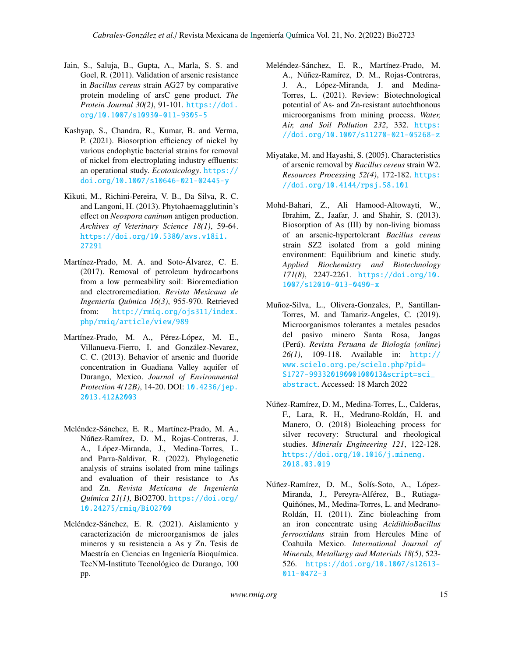- Jain, S., Saluja, B., Gupta, A., Marla, S. S. and Goel, R. (2011). Validation of arsenic resistance in *Bacillus cereus* strain AG27 by comparative protein modeling of arsC gene product. *The Protein Journal 30(2)*, 91-101. [https://doi.](https://doi.org/10.1007/s10930-011-9305-5) [org/10.1007/s10930-011-9305-5](https://doi.org/10.1007/s10930-011-9305-5)
- Kashyap, S., Chandra, R., Kumar, B. and Verma, P. (2021). Biosorption efficiency of nickel by various endophytic bacterial strains for removal of nickel from electroplating industry effluents: an operational study. *Ecotoxicology*. [https://](https://doi.org/10.1007/s10646-021-02445-y) [doi.org/10.1007/s10646-021-02445-y](https://doi.org/10.1007/s10646-021-02445-y)
- Kikuti, M., Richini-Pereira, V. B., Da Silva, R. C. and Langoni, H. (2013). Phytohaemagglutinin's effect on *Neospora caninum* antigen production. *Archives of Veterinary Science 18(1)*, 59-64. [https://doi.org/10.5380/avs.v18i1.](https://doi.org/10.5380/avs.v18i1.27291) [27291](https://doi.org/10.5380/avs.v18i1.27291)
- Martínez-Prado, M. A. and Soto-Álvarez, C. E. (2017). Removal of petroleum hydrocarbons from a low permeability soil: Bioremediation and electroremediation. *Revista Mexicana de Ingeniería Química 16(3)*, 955-970. Retrieved from: [http://rmiq.org/ojs311/index.](http://rmiq.org/ojs311/index.php/rmiq/article/view/989) [php/rmiq/article/view/989](http://rmiq.org/ojs311/index.php/rmiq/article/view/989)
- Martínez-Prado, M. A., Pérez-López, M. E., Villanueva-Fierro, I. and González-Nevarez, C. C. (2013). Behavior of arsenic and fluoride concentration in Guadiana Valley aquifer of Durango, Mexico. *Journal of Environmental Protection 4(12B)*, 14-20. DOI: [10.4236/jep.](10.4236/jep.2013.412A2003) [2013.412A2003](10.4236/jep.2013.412A2003)
- Meléndez-Sánchez, E. R., Martínez-Prado, M. A., Núñez-Ramírez, D. M., Rojas-Contreras, J. A., López-Miranda, J., Medina-Torres, L. and Parra-Saldivar, R. (2022). Phylogenetic analysis of strains isolated from mine tailings and evaluation of their resistance to As and Zn. *Revista Mexicana de Ingeniería Química 21(1)*, BiO2700. [https://doi.org/](https://doi.org/10.24275/rmiq/BiO2700) [10.24275/rmiq/BiO2700](https://doi.org/10.24275/rmiq/BiO2700)
- Meléndez-Sánchez, E. R. (2021). Aislamiento y caracterización de microorganismos de jales mineros y su resistencia a As y Zn. Tesis de Maestría en Ciencias en Ingeniería Bioquímica. TecNM-Instituto Tecnológico de Durango, 100 pp.
- Meléndez-Sánchez, E. R., Martínez-Prado, M. A., Núñez-Ramírez, D. M., Rojas-Contreras, J. A., López-Miranda, J. and Medina-Torres, L. (2021). Review: Biotechnological potential of As- and Zn-resistant autochthonous microorganisms from mining process. *Water, Air, and Soil Pollution 232*, 332. [https:](https://doi.org/10.1007/s11270-021-05268-z) [//doi.org/10.1007/s11270-021-05268-z](https://doi.org/10.1007/s11270-021-05268-z)
- Miyatake, M. and Hayashi, S. (2005). Characteristics of arsenic removal by *Bacillus cereus* strain W2. *Resources Processing 52(4)*, 172-182. [https:](https://doi.org/10.4144/rpsj.58.101) [//doi.org/10.4144/rpsj.58.101](https://doi.org/10.4144/rpsj.58.101)
- Mohd-Bahari, Z., Ali Hamood-Altowayti, W., Ibrahim, Z., Jaafar, J. and Shahir, S. (2013). Biosorption of As (III) by non-living biomass of an arsenic-hypertolerant *Bacillus cereus* strain SZ2 isolated from a gold mining environment: Equilibrium and kinetic study. *Applied Biochemistry and Biotechnology 171(8)*, 2247-2261. [https://doi.org/10.](https://doi.org/10.1007/s12010-013-0490-x) [1007/s12010-013-0490-x](https://doi.org/10.1007/s12010-013-0490-x)
- Muñoz-Silva, L., Olivera-Gonzales, P., Santillan-Torres, M. and Tamariz-Angeles, C. (2019). Microorganismos tolerantes a metales pesados del pasivo minero Santa Rosa, Jangas (Perú). *Revista Peruana de Biología (online) 26(1)*, 109-118. Available in: [http://](http://www.scielo.org.pe/scielo.php?pid=S1727-99332019000100013&script=sci_abstract) [www.scielo.org.pe/scielo.php?pid=](http://www.scielo.org.pe/scielo.php?pid=S1727-99332019000100013&script=sci_abstract) [S1727-99332019000100013&script=sci\\_](http://www.scielo.org.pe/scielo.php?pid=S1727-99332019000100013&script=sci_abstract) [abstract](http://www.scielo.org.pe/scielo.php?pid=S1727-99332019000100013&script=sci_abstract). Accessed: 18 March 2022
- Núñez-Ramírez, D. M., Medina-Torres, L., Calderas, F., Lara, R. H., Medrano-Roldán, H. and Manero, O. (2018) Bioleaching process for silver recovery: Structural and rheological studies. *Minerals Engineering 121*, 122-128. [https://doi.org/10.1016/j.mineng.](https://doi.org/10.1016/j.mineng.2018.03.019) [2018.03.019](https://doi.org/10.1016/j.mineng.2018.03.019)
- Núñez-Ramírez, D. M., Solís-Soto, A., López-Miranda, J., Pereyra-Alférez, B., Rutiaga-Quiñónes, M., Medina-Torres, L. and Medrano-Roldán, H. (2011). Zinc bioleaching from an iron concentrate using *AcidithioBacillus ferrooxidans* strain from Hercules Mine of Coahuila Mexico. *International Journal of Minerals, Metallurgy and Materials 18(5)*, 523- 526. [https://doi.org/10.1007/s12613-](https://doi.org/10.1007/s12613-011-0472-3) [011-0472-3](https://doi.org/10.1007/s12613-011-0472-3)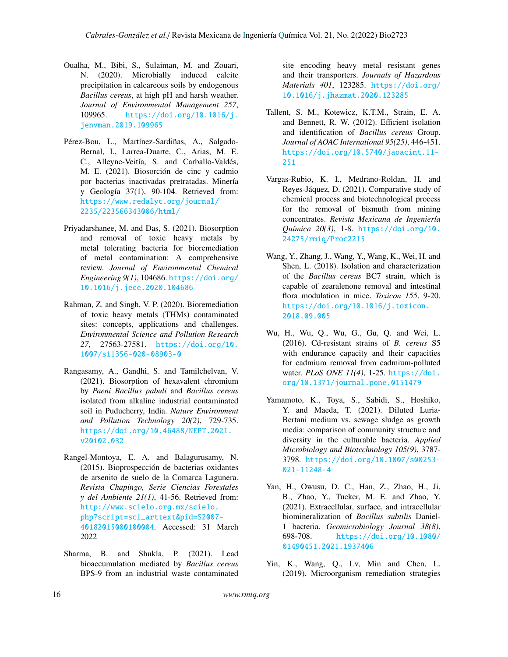- Oualha, M., Bibi, S., Sulaiman, M. and Zouari, N. (2020). Microbially induced calcite precipitation in calcareous soils by endogenous *Bacillus cereus*, at high pH and harsh weather. *Journal of Environmental Management 257*, 109965. [https://doi.org/10.1016/j.](https://doi.org/10.1016/j.jenvman.2019.109965) [jenvman.2019.109965](https://doi.org/10.1016/j.jenvman.2019.109965)
- Pérez-Bou, L., Martínez-Sardiñas, A., Salgado-Bernal, I., Larrea-Duarte, C., Arias, M. E. C., Alleyne-Veitía, S. and Carballo-Valdés, M. E. (2021). Biosorción de cinc y cadmio por bacterias inactivadas pretratadas. Minería y Geología 37(1), 90-104. Retrieved from: [https://www.redalyc.org/journal/](https://www.redalyc.org/journal/2235/223566343006/html/) [2235/223566343006/html/](https://www.redalyc.org/journal/2235/223566343006/html/)
- Priyadarshanee, M. and Das, S. (2021). Biosorption and removal of toxic heavy metals by metal tolerating bacteria for bioremediation of metal contamination: A comprehensive review. *Journal of Environmental Chemical Engineering 9(1)*, 104686. [https://doi.org/](https://doi.org/10.1016/j.jece.2020.104686) [10.1016/j.jece.2020.104686](https://doi.org/10.1016/j.jece.2020.104686)
- Rahman, Z. and Singh, V. P. (2020). Bioremediation of toxic heavy metals (THMs) contaminated sites: concepts, applications and challenges. *Environmental Science and Pollution Research 27*, 27563-27581. [https://doi.org/10.](https://doi.org/10.1007/s11356-020-08903-0) [1007/s11356-020-08903-0](https://doi.org/10.1007/s11356-020-08903-0)
- Rangasamy, A., Gandhi, S. and Tamilchelvan, V. (2021). Biosorption of hexavalent chromium by *Paeni Bacillus pabuli* and *Bacillus cereus* isolated from alkaline industrial contaminated soil in Puducherry, India. *Nature Environment and Pollution Technology 20(2)*, 729-735. [https://doi.org/10.46488/NEPT.2021.](https://doi.org/10.46488/NEPT.2021.v20i02.032 ) [v20i02.032](https://doi.org/10.46488/NEPT.2021.v20i02.032 )
- Rangel-Montoya, E. A. and Balagurusamy, N. (2015). Bioprospección de bacterias oxidantes de arsenito de suelo de la Comarca Lagunera. *Revista Chapingo, Serie Ciencias Forestales y del Ambiente 21(1)*, 41-56. Retrieved from: [http://www.scielo.org.mx/scielo.](http://www.scielo.org.mx/scielo.php?script=sci_arttext&pid=S2007-40182015000100004) [php?script=sci\\_arttext&pid=S2007-](http://www.scielo.org.mx/scielo.php?script=sci_arttext&pid=S2007-40182015000100004) [40182015000100004](http://www.scielo.org.mx/scielo.php?script=sci_arttext&pid=S2007-40182015000100004). Accessed: 31 March 2022
- Sharma, B. and Shukla, P. (2021). Lead bioaccumulation mediated by *Bacillus cereus* BPS-9 from an industrial waste contaminated

site encoding heavy metal resistant genes and their transporters. *Journals of Hazardous Materials 401*, 123285. [https://doi.org/](https://doi.org/10.1016/j.jhazmat.2020.123285) [10.1016/j.jhazmat.2020.123285](https://doi.org/10.1016/j.jhazmat.2020.123285)

- Tallent, S. M., Kotewicz, K.T.M., Strain, E. A. and Bennett, R. W. (2012). Efficient isolation and identification of *Bacillus cereus* Group. *Journal of AOAC International 95(25)*, 446-451. [https://doi.org/10.5740/jaoacint.11-](https://doi.org/10.5740/jaoacint.11-251) [251](https://doi.org/10.5740/jaoacint.11-251)
- Vargas-Rubio, K. I., Medrano-Roldan, H. and Reyes-Jáquez, D. (2021). Comparative study of chemical process and biotechnological process for the removal of bismuth from mining concentrates. *Revista Mexicana de Ingeniería Química 20(3)*, 1-8. [https://doi.org/10.](https://doi.org/10.24275/rmiq/Proc2215) [24275/rmiq/Proc2215](https://doi.org/10.24275/rmiq/Proc2215)
- Wang, Y., Zhang, J., Wang, Y., Wang, K., Wei, H. and Shen, L. (2018). Isolation and characterization of the *Bacillus cereus* BC7 strain, which is capable of zearalenone removal and intestinal flora modulation in mice. *Toxicon 155*, 9-20. [https://doi.org/10.1016/j.toxicon.](https://doi.org/10.1016/j.toxicon.2018.09.005) [2018.09.005](https://doi.org/10.1016/j.toxicon.2018.09.005)
- Wu, H., Wu, Q., Wu, G., Gu, Q. and Wei, L. (2016). Cd-resistant strains of *B. cereus* S5 with endurance capacity and their capacities for cadmium removal from cadmium-polluted water. *PLoS ONE 11(4)*, 1-25. [https://doi.](https://doi.org/10.1371/journal.pone.0151479) [org/10.1371/journal.pone.0151479](https://doi.org/10.1371/journal.pone.0151479)
- Yamamoto, K., Toya, S., Sabidi, S., Hoshiko, Y. and Maeda, T. (2021). Diluted Luria-Bertani medium vs. sewage sludge as growth media: comparison of community structure and diversity in the culturable bacteria. *Applied Microbiology and Biotechnology 105(9)*, 3787- 3798. [https://doi.org/10.1007/s00253-](https://doi.org/10.1007/s00253-021-11248-4) [021-11248-4](https://doi.org/10.1007/s00253-021-11248-4)
- Yan, H., Owusu, D. C., Han, Z., Zhao, H., Ji, B., Zhao, Y., Tucker, M. E. and Zhao, Y. (2021). Extracellular, surface, and intracellular biomineralization of *Bacillus subtilis* Daniel-1 bacteria. *Geomicrobiology Journal 38(8)*, 698-708. [https://doi.org/10.1080/](https://doi.org/10.1080/01490451.2021.1937406) [01490451.2021.1937406](https://doi.org/10.1080/01490451.2021.1937406)
- Yin, K., Wang, Q., Lv, Min and Chen, L. (2019). Microorganism remediation strategies